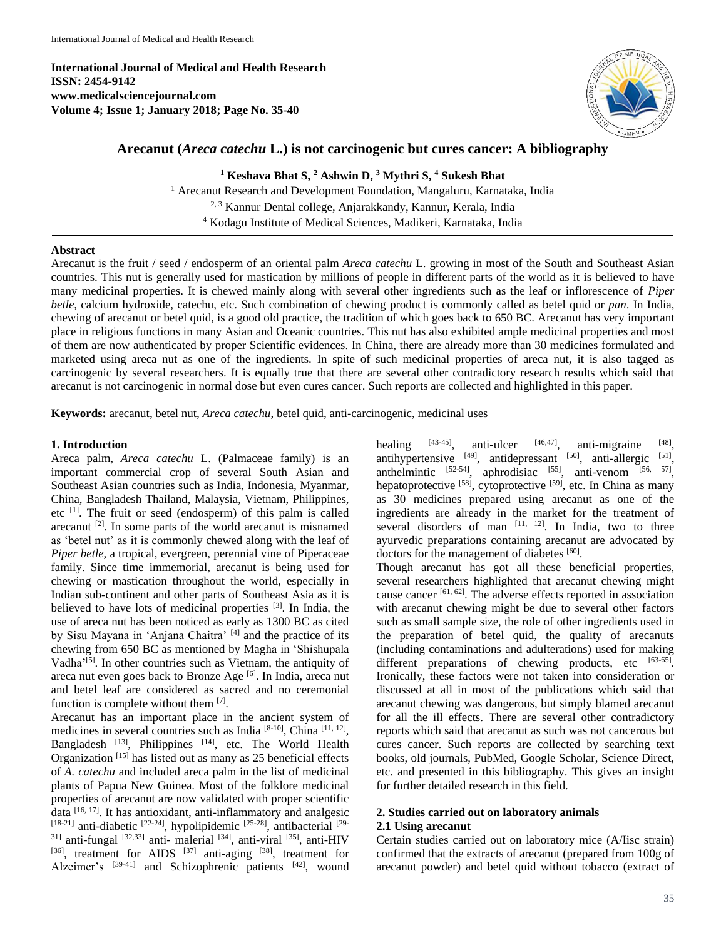**International Journal of Medical and Health Research ISSN: 2454-9142 www.medicalsciencejournal.com Volume 4; Issue 1; January 2018; Page No. 35-40**



# **Arecanut (***Areca catechu* **L.) is not carcinogenic but cures cancer: A bibliography**

**<sup>1</sup> Keshava Bhat S, <sup>2</sup> Ashwin D, <sup>3</sup> Mythri S, <sup>4</sup> Sukesh Bhat**

<sup>1</sup> Arecanut Research and Development Foundation, Mangaluru, Karnataka, India 2, 3 Kannur Dental college, Anjarakkandy, Kannur, Kerala, India <sup>4</sup> Kodagu Institute of Medical Sciences, Madikeri, Karnataka, India

### **Abstract**

Arecanut is the fruit / seed / endosperm of an oriental palm *Areca catechu* L. growing in most of the South and Southeast Asian countries. This nut is generally used for mastication by millions of people in different parts of the world as it is believed to have many medicinal properties. It is chewed mainly along with several other ingredients such as the leaf or inflorescence of *Piper betle,* calcium hydroxide, catechu, etc. Such combination of chewing product is commonly called as betel quid or *pan*. In India, chewing of arecanut or betel quid, is a good old practice, the tradition of which goes back to 650 BC. Arecanut has very important place in religious functions in many Asian and Oceanic countries. This nut has also exhibited ample medicinal properties and most of them are now authenticated by proper Scientific evidences. In China, there are already more than 30 medicines formulated and marketed using areca nut as one of the ingredients. In spite of such medicinal properties of areca nut, it is also tagged as carcinogenic by several researchers. It is equally true that there are several other contradictory research results which said that arecanut is not carcinogenic in normal dose but even cures cancer. Such reports are collected and highlighted in this paper.

**Keywords:** arecanut, betel nut, *Areca catechu*, betel quid, anti-carcinogenic, medicinal uses

#### **1. Introduction**

Areca palm, *Areca catechu* L. (Palmaceae family) is an important commercial crop of several South Asian and Southeast Asian countries such as India, Indonesia, Myanmar, China, Bangladesh Thailand, Malaysia, Vietnam, Philippines, etc <sup>[1]</sup>. The fruit or seed (endosperm) of this palm is called arecanut  $^{[2]}$ . In some parts of the world arecanut is misnamed as 'betel nut' as it is commonly chewed along with the leaf of *Piper betle*, a tropical, evergreen, perennial vine of Piperaceae family. Since time immemorial, arecanut is being used for chewing or mastication throughout the world, especially in Indian sub-continent and other parts of Southeast Asia as it is believed to have lots of medicinal properties [3]. In India, the use of areca nut has been noticed as early as 1300 BC as cited by Sisu Mayana in 'Anjana Chaitra' [4] and the practice of its chewing from 650 BC as mentioned by Magha in 'Shishupala Vadha'<sup>[5]</sup>. In other countries such as Vietnam, the antiquity of areca nut even goes back to Bronze Age [6]. In India, areca nut and betel leaf are considered as sacred and no ceremonial function is complete without them [7].

Arecanut has an important place in the ancient system of medicines in several countries such as India [8-10], China [11, 12], Bangladesh <sup>[13]</sup>, Philippines <sup>[14]</sup>, etc. The World Health Organization<sup>[15]</sup> has listed out as many as 25 beneficial effects of *A. catechu* and included areca palm in the list of medicinal plants of Papua New Guinea. Most of the folklore medicinal properties of arecanut are now validated with proper scientific data <a>[16, 17]</a>. It has antioxidant, anti-inflammatory and analgesic [18-21] anti-diabetic <sup>[22-24]</sup>, hypolipidemic <sup>[25-28]</sup>, antibacterial <sup>[29-</sup>  $31$ ] anti-fungal  $[32,33]$  anti- malerial  $[34]$ , anti-viral  $[35]$ , anti-HIV [36], treatment for AIDS [37] anti-aging [38], treatment for Alzeimer's [39-41] and Schizophrenic patients [42], wound

healing  $[43-45]$ , anti-ulcer  $[46,47]$ , anti-migraine [48] antihypertensive  $[49]$ , antidepressant  $[50]$ , anti-allergic  $[51]$ , anthelmintic  $^{[52-54]}$ , aphrodisiac  $^{[55]}$ , anti-venom  $^{[56, 57]}$ , hepatoprotective <sup>[58]</sup>, cytoprotective <sup>[59]</sup>, etc. In China as many as 30 medicines prepared using arecanut as one of the ingredients are already in the market for the treatment of several disorders of man  $[11, 12]$ . In India, two to three ayurvedic preparations containing arecanut are advocated by doctors for the management of diabetes [60].

Though arecanut has got all these beneficial properties, several researchers highlighted that arecanut chewing might cause cancer [61, 62]. The adverse effects reported in association with arecanut chewing might be due to several other factors such as small sample size, the role of other ingredients used in the preparation of betel quid, the quality of arecanuts (including contaminations and adulterations) used for making different preparations of chewing products, etc [63-65]. Ironically, these factors were not taken into consideration or discussed at all in most of the publications which said that arecanut chewing was dangerous, but simply blamed arecanut for all the ill effects. There are several other contradictory reports which said that arecanut as such was not cancerous but cures cancer. Such reports are collected by searching text books, old journals, PubMed, Google Scholar, Science Direct, etc. and presented in this bibliography. This gives an insight for further detailed research in this field.

### **2. Studies carried out on laboratory animals 2.1 Using arecanut**

Certain studies carried out on laboratory mice (A/Iisc strain) confirmed that the extracts of arecanut (prepared from 100g of arecanut powder) and betel quid without tobacco (extract of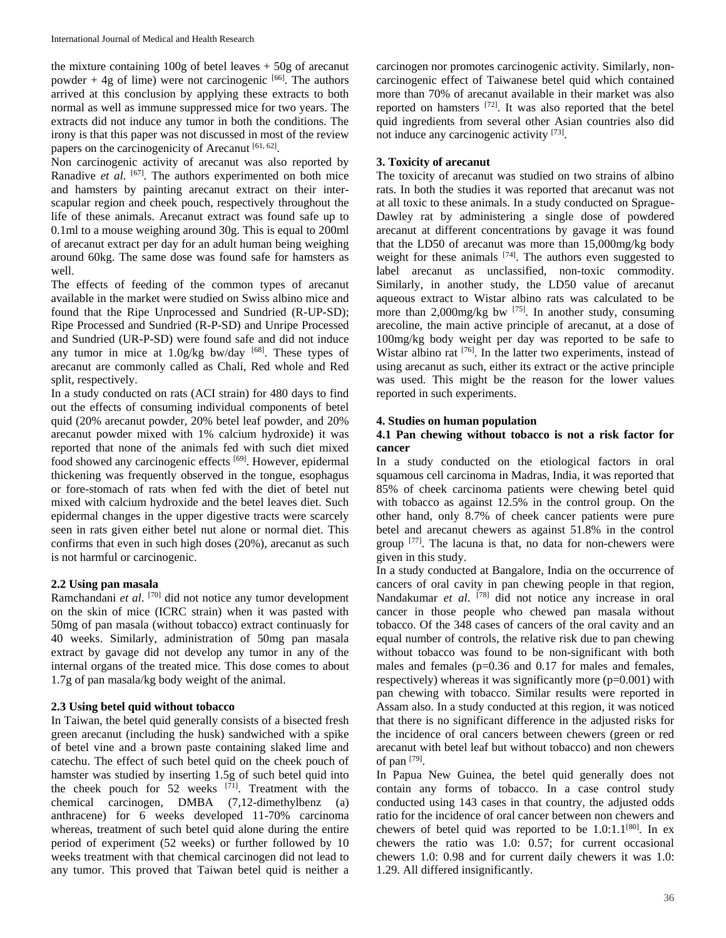the mixture containing  $100g$  of betel leaves  $+50g$  of arecanut powder  $+4g$  of lime) were not carcinogenic  $[66]$ . The authors arrived at this conclusion by applying these extracts to both normal as well as immune suppressed mice for two years. The extracts did not induce any tumor in both the conditions. The irony is that this paper was not discussed in most of the review papers on the carcinogenicity of Arecanut [61, 62].

Non carcinogenic activity of arecanut was also reported by Ranadive et al. <sup>[67]</sup>. The authors experimented on both mice and hamsters by painting arecanut extract on their interscapular region and cheek pouch, respectively throughout the life of these animals. Arecanut extract was found safe up to 0.1ml to a mouse weighing around 30g. This is equal to 200ml of arecanut extract per day for an adult human being weighing around 60kg. The same dose was found safe for hamsters as well.

The effects of feeding of the common types of arecanut available in the market were studied on Swiss albino mice and found that the Ripe Unprocessed and Sundried (R-UP-SD); Ripe Processed and Sundried (R-P-SD) and Unripe Processed and Sundried (UR-P-SD) were found safe and did not induce any tumor in mice at  $1.0$ g/kg bw/day [68]. These types of arecanut are commonly called as Chali, Red whole and Red split, respectively.

In a study conducted on rats (ACI strain) for 480 days to find out the effects of consuming individual components of betel quid (20% arecanut powder, 20% betel leaf powder, and 20% arecanut powder mixed with 1% calcium hydroxide) it was reported that none of the animals fed with such diet mixed food showed any carcinogenic effects [69]. However, epidermal thickening was frequently observed in the tongue, esophagus or fore-stomach of rats when fed with the diet of betel nut mixed with calcium hydroxide and the betel leaves diet. Such epidermal changes in the upper digestive tracts were scarcely seen in rats given either betel nut alone or normal diet. This confirms that even in such high doses (20%), arecanut as such is not harmful or carcinogenic.

### **2.2 Using pan masala**

Ramchandani *et al*. [70] did not notice any tumor development on the skin of mice (ICRC strain) when it was pasted with 50mg of pan masala (without tobacco) extract continuasly for 40 weeks. Similarly, administration of 50mg pan masala extract by gavage did not develop any tumor in any of the internal organs of the treated mice. This dose comes to about 1.7g of pan masala/kg body weight of the animal.

### **2.3 Using betel quid without tobacco**

In Taiwan, the betel quid generally consists of a bisected fresh green arecanut (including the husk) sandwiched with a spike of betel vine and a brown paste containing slaked lime and catechu. The effect of such betel quid on the cheek pouch of hamster was studied by inserting 1.5g of such betel quid into the cheek pouch for 52 weeks  $[71]$ . Treatment with the chemical carcinogen, DMBA (7,12-dimethylbenz (a) anthracene) for 6 weeks developed 11-70% carcinoma whereas, treatment of such betel quid alone during the entire period of experiment (52 weeks) or further followed by 10 weeks treatment with that chemical carcinogen did not lead to any tumor. This proved that Taiwan betel quid is neither a

carcinogen nor promotes carcinogenic activity. Similarly, noncarcinogenic effect of Taiwanese betel quid which contained more than 70% of arecanut available in their market was also reported on hamsters [72]. It was also reported that the betel quid ingredients from several other Asian countries also did not induce any carcinogenic activity [73].

# **3. Toxicity of arecanut**

The toxicity of arecanut was studied on two strains of albino rats. In both the studies it was reported that arecanut was not at all toxic to these animals. In a study conducted on Sprague-Dawley rat by administering a single dose of powdered arecanut at different concentrations by gavage it was found that the LD50 of arecanut was more than 15,000mg/kg body weight for these animals  $[74]$ . The authors even suggested to label arecanut as unclassified, non-toxic commodity. Similarly, in another study, the LD50 value of arecanut aqueous extract to Wistar albino rats was calculated to be more than  $2,000$ mg/kg bw  $^{[75]}$ . In another study, consuming arecoline, the main active principle of arecanut, at a dose of 100mg/kg body weight per day was reported to be safe to Wistar albino rat <a>[76]</a>. In the latter two experiments, instead of using arecanut as such, either its extract or the active principle was used. This might be the reason for the lower values reported in such experiments.

### **4. Studies on human population**

### **4.1 Pan chewing without tobacco is not a risk factor for cancer**

In a study conducted on the etiological factors in oral squamous cell carcinoma in Madras, India, it was reported that 85% of cheek carcinoma patients were chewing betel quid with tobacco as against 12.5% in the control group. On the other hand, only 8.7% of cheek cancer patients were pure betel and arecanut chewers as against 51.8% in the control group  $[77]$ . The lacuna is that, no data for non-chewers were given in this study.

In a study conducted at Bangalore, India on the occurrence of cancers of oral cavity in pan chewing people in that region, Nandakumar *et al.* <sup>[78]</sup> did not notice any increase in oral cancer in those people who chewed pan masala without tobacco. Of the 348 cases of cancers of the oral cavity and an equal number of controls, the relative risk due to pan chewing without tobacco was found to be non-significant with both males and females  $(p=0.36$  and  $0.17$  for males and females, respectively) whereas it was significantly more  $(p=0.001)$  with pan chewing with tobacco. Similar results were reported in Assam also. In a study conducted at this region, it was noticed that there is no significant difference in the adjusted risks for the incidence of oral cancers between chewers (green or red arecanut with betel leaf but without tobacco) and non chewers of pan  $^{[79]}$ .

In Papua New Guinea, the betel quid generally does not contain any forms of tobacco. In a case control study conducted using 143 cases in that country, the adjusted odds ratio for the incidence of oral cancer between non chewers and chewers of betel quid was reported to be  $1.0:1.1^{[80]}$ . In ex chewers the ratio was 1.0: 0.57; for current occasional chewers 1.0: 0.98 and for current daily chewers it was 1.0: 1.29. All differed insignificantly.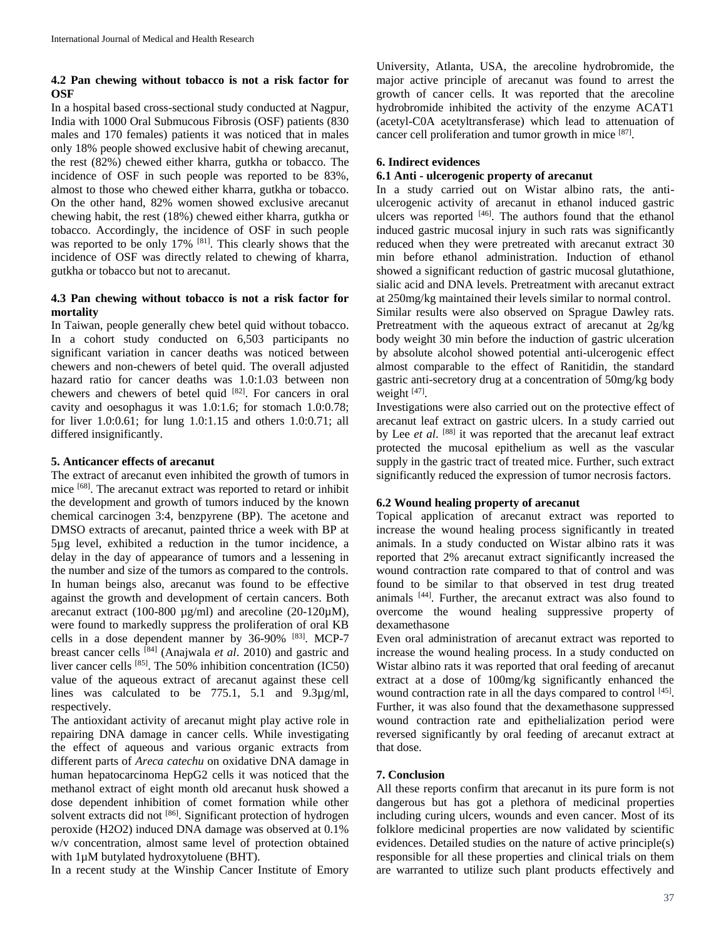## **4.2 Pan chewing without tobacco is not a risk factor for OSF**

In a hospital based cross-sectional study conducted at Nagpur, India with 1000 Oral Submucous Fibrosis (OSF) patients (830 males and 170 females) patients it was noticed that in males only 18% people showed exclusive habit of chewing arecanut, the rest (82%) chewed either kharra, gutkha or tobacco. The incidence of OSF in such people was reported to be 83%, almost to those who chewed either kharra, gutkha or tobacco. On the other hand, 82% women showed exclusive arecanut chewing habit, the rest (18%) chewed either kharra, gutkha or tobacco. Accordingly, the incidence of OSF in such people was reported to be only 17% <sup>[81]</sup>. This clearly shows that the incidence of OSF was directly related to chewing of kharra, gutkha or tobacco but not to arecanut.

## **4.3 Pan chewing without tobacco is not a risk factor for mortality**

In Taiwan, people generally chew betel quid without tobacco. In a cohort study conducted on 6,503 participants no significant variation in cancer deaths was noticed between chewers and non-chewers of betel quid. The overall adjusted hazard ratio for cancer deaths was 1.0:1.03 between non chewers and chewers of betel quid [82]. For cancers in oral cavity and oesophagus it was 1.0:1.6; for stomach 1.0:0.78; for liver 1.0:0.61; for lung 1.0:1.15 and others 1.0:0.71; all differed insignificantly.

### **5. Anticancer effects of arecanut**

The extract of arecanut even inhibited the growth of tumors in mice [68]. The arecanut extract was reported to retard or inhibit the development and growth of tumors induced by the known chemical carcinogen 3:4, benzpyrene (BP). The acetone and DMSO extracts of arecanut, painted thrice a week with BP at 5µg level, exhibited a reduction in the tumor incidence, a delay in the day of appearance of tumors and a lessening in the number and size of the tumors as compared to the controls. In human beings also, arecanut was found to be effective against the growth and development of certain cancers. Both arecanut extract (100-800 µg/ml) and arecoline (20-120µM), were found to markedly suppress the proliferation of oral KB cells in a dose dependent manner by 36-90% [83]. MCP-7 breast cancer cells [84] (Anajwala *et al*. 2010) and gastric and liver cancer cells [85]. The 50% inhibition concentration (IC50) value of the aqueous extract of arecanut against these cell lines was calculated to be 775.1, 5.1 and 9.3µg/ml, respectively.

The antioxidant activity of arecanut might play active role in repairing DNA damage in cancer cells. While investigating the effect of aqueous and various organic extracts from different parts of *Areca catechu* on oxidative DNA damage in human hepatocarcinoma HepG2 cells it was noticed that the methanol extract of eight month old arecanut husk showed a dose dependent inhibition of comet formation while other solvent extracts did not <sup>[86]</sup>. Significant protection of hydrogen peroxide (H2O2) induced DNA damage was observed at 0.1% w/v concentration, almost same level of protection obtained with  $1\mu$ M butylated hydroxytoluene (BHT).

In a recent study at the Winship Cancer Institute of Emory

University, Atlanta, USA, the arecoline hydrobromide, the major active principle of arecanut was found to arrest the growth of cancer cells. It was reported that the arecoline hydrobromide inhibited the activity of the enzyme ACAT1 (acetyl-C0A acetyltransferase) which lead to attenuation of cancer cell proliferation and tumor growth in mice [87].

## **6. Indirect evidences**

# **6.1 Anti - ulcerogenic property of arecanut**

In a study carried out on Wistar albino rats, the antiulcerogenic activity of arecanut in ethanol induced gastric ulcers was reported [46]. The authors found that the ethanol induced gastric mucosal injury in such rats was significantly reduced when they were pretreated with arecanut extract 30 min before ethanol administration. Induction of ethanol showed a significant reduction of gastric mucosal glutathione, sialic acid and DNA levels. Pretreatment with arecanut extract at 250mg/kg maintained their levels similar to normal control.

Similar results were also observed on Sprague Dawley rats. Pretreatment with the aqueous extract of arecanut at 2g/kg body weight 30 min before the induction of gastric ulceration by absolute alcohol showed potential anti-ulcerogenic effect almost comparable to the effect of Ranitidin, the standard gastric anti-secretory drug at a concentration of 50mg/kg body weight [47].

Investigations were also carried out on the protective effect of arecanut leaf extract on gastric ulcers. In a study carried out by Lee *et al.* [88] it was reported that the arecanut leaf extract protected the mucosal epithelium as well as the vascular supply in the gastric tract of treated mice. Further, such extract significantly reduced the expression of tumor necrosis factors.

# **6.2 Wound healing property of arecanut**

Topical application of arecanut extract was reported to increase the wound healing process significantly in treated animals. In a study conducted on Wistar albino rats it was reported that 2% arecanut extract significantly increased the wound contraction rate compared to that of control and was found to be similar to that observed in test drug treated animals [44]. Further, the arecanut extract was also found to overcome the wound healing suppressive property of dexamethasone

Even oral administration of arecanut extract was reported to increase the wound healing process. In a study conducted on Wistar albino rats it was reported that oral feeding of arecanut extract at a dose of 100mg/kg significantly enhanced the wound contraction rate in all the days compared to control [45]. Further, it was also found that the dexamethasone suppressed wound contraction rate and epithelialization period were reversed significantly by oral feeding of arecanut extract at that dose.

### **7. Conclusion**

All these reports confirm that arecanut in its pure form is not dangerous but has got a plethora of medicinal properties including curing ulcers, wounds and even cancer. Most of its folklore medicinal properties are now validated by scientific evidences. Detailed studies on the nature of active principle(s) responsible for all these properties and clinical trials on them are warranted to utilize such plant products effectively and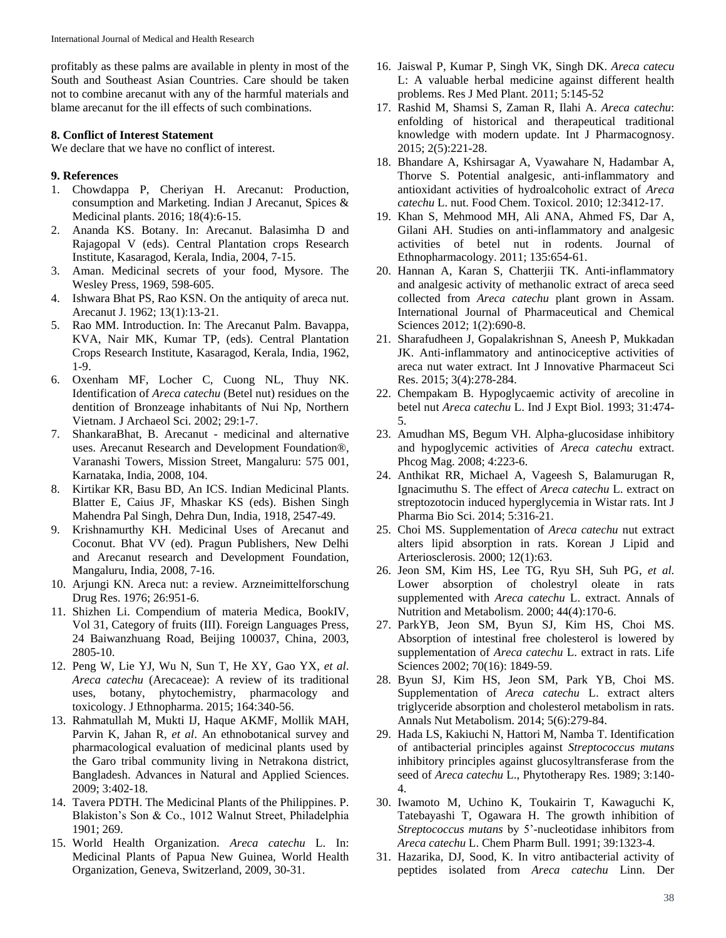profitably as these palms are available in plenty in most of the South and Southeast Asian Countries. Care should be taken not to combine arecanut with any of the harmful materials and blame arecanut for the ill effects of such combinations.

#### **8. Conflict of Interest Statement**

We declare that we have no conflict of interest.

### **9. References**

- 1. Chowdappa P, Cheriyan H. Arecanut: Production, consumption and Marketing. Indian J Arecanut, Spices & Medicinal plants. 2016; 18(4):6-15.
- 2. Ananda KS. Botany. In: Arecanut. Balasimha D and Rajagopal V (eds). Central Plantation crops Research Institute, Kasaragod, Kerala, India, 2004, 7-15.
- 3. Aman. Medicinal secrets of your food, Mysore. The Wesley Press, 1969, 598-605.
- 4. Ishwara Bhat PS, Rao KSN. On the antiquity of areca nut. Arecanut J. 1962; 13(1):13-21.
- 5. Rao MM. Introduction. In: The Arecanut Palm. Bavappa, KVA, Nair MK, Kumar TP, (eds). Central Plantation Crops Research Institute, Kasaragod, Kerala, India, 1962, 1-9.
- 6. Oxenham MF, Locher C, Cuong NL, Thuy NK. Identification of *Areca catechu* (Betel nut) residues on the dentition of Bronzeage inhabitants of Nui Np, Northern Vietnam. J Archaeol Sci. 2002; 29:1-7.
- 7. ShankaraBhat, B. Arecanut medicinal and alternative uses. Arecanut Research and Development Foundation®, Varanashi Towers, Mission Street, Mangaluru: 575 001, Karnataka, India, 2008, 104.
- 8. Kirtikar KR, Basu BD, An ICS. Indian Medicinal Plants. Blatter E, Caius JF, Mhaskar KS (eds). Bishen Singh Mahendra Pal Singh, Dehra Dun, India, 1918, 2547-49.
- 9. Krishnamurthy KH. Medicinal Uses of Arecanut and Coconut. Bhat VV (ed). Pragun Publishers, New Delhi and Arecanut research and Development Foundation, Mangaluru, India, 2008, 7-16.
- 10. Arjungi KN. Areca nut: a review. Arzneimittelforschung Drug Res. 1976; 26:951-6.
- 11. Shizhen Li. Compendium of materia Medica, BookIV, Vol 31, Category of fruits (III). Foreign Languages Press, 24 Baiwanzhuang Road, Beijing 100037, China, 2003, 2805-10.
- 12. Peng W, Lie YJ, Wu N, Sun T, He XY, Gao YX, *et al*. *Areca catechu* (Arecaceae): A review of its traditional uses, botany, phytochemistry, pharmacology and toxicology. J Ethnopharma. 2015; 164:340-56.
- 13. Rahmatullah M, Mukti IJ, Haque AKMF, Mollik MAH, Parvin K, Jahan R, *et al*. An ethnobotanical survey and pharmacological evaluation of medicinal plants used by the Garo tribal community living in Netrakona district, Bangladesh. Advances in Natural and Applied Sciences. 2009; 3:402-18.
- 14. Tavera PDTH. The Medicinal Plants of the Philippines. P. Blakiston's Son & Co., 1012 Walnut Street, Philadelphia 1901; 269.
- 15. World Health Organization. *Areca catechu* L. In: Medicinal Plants of Papua New Guinea, World Health Organization, Geneva, Switzerland, 2009, 30-31.
- 16. Jaiswal P, Kumar P, Singh VK, Singh DK. *Areca catecu* L: A valuable herbal medicine against different health problems. Res J Med Plant. 2011; 5:145-52
- 17. Rashid M, Shamsi S, Zaman R, Ilahi A. *Areca catechu*: enfolding of historical and therapeutical traditional knowledge with modern update. Int J Pharmacognosy. 2015; 2(5):221-28.
- 18. Bhandare A, Kshirsagar A, Vyawahare N, Hadambar A, Thorve S. Potential analgesic, anti-inflammatory and antioxidant activities of hydroalcoholic extract of *Areca catechu* L. nut. Food Chem. Toxicol. 2010; 12:3412-17.
- 19. Khan S, Mehmood MH, Ali ANA, Ahmed FS, Dar A, Gilani AH. Studies on anti-inflammatory and analgesic activities of betel nut in rodents. Journal of Ethnopharmacology. 2011; 135:654-61.
- 20. Hannan A, Karan S, Chatterjii TK. Anti-inflammatory and analgesic activity of methanolic extract of areca seed collected from *Areca catechu* plant grown in Assam. International Journal of Pharmaceutical and Chemical Sciences 2012; 1(2):690-8.
- 21. Sharafudheen J, Gopalakrishnan S, Aneesh P, Mukkadan JK. Anti-inflammatory and antinociceptive activities of areca nut water extract. Int J Innovative Pharmaceut Sci Res. 2015; 3(4):278-284.
- 22. Chempakam B. Hypoglycaemic activity of arecoline in betel nut *Areca catechu* L. Ind J Expt Biol. 1993; 31:474- 5.
- 23. Amudhan MS, Begum VH. Alpha-glucosidase inhibitory and hypoglycemic activities of *Areca catechu* extract. Phcog Mag. 2008; 4:223-6.
- 24. Anthikat RR, Michael A, Vageesh S, Balamurugan R, Ignacimuthu S. The effect of *Areca catechu* L. extract on streptozotocin induced hyperglycemia in Wistar rats. Int J Pharma Bio Sci. 2014; 5:316-21.
- 25. Choi MS. Supplementation of *Areca catechu* nut extract alters lipid absorption in rats. Korean J Lipid and Arteriosclerosis. 2000; 12(1):63.
- 26. Jeon SM, Kim HS, Lee TG, Ryu SH, Suh PG, *et al*. Lower absorption of cholestryl oleate in rats supplemented with *Areca catechu* L. extract. Annals of Nutrition and Metabolism. 2000; 44(4):170-6.
- 27. ParkYB, Jeon SM, Byun SJ, Kim HS, Choi MS. Absorption of intestinal free cholesterol is lowered by supplementation of *Areca catechu* L. extract in rats. Life Sciences 2002; 70(16): 1849-59.
- 28. Byun SJ, Kim HS, Jeon SM, Park YB, Choi MS. Supplementation of *Areca catechu* L. extract alters triglyceride absorption and cholesterol metabolism in rats. Annals Nut Metabolism. 2014; 5(6):279-84.
- 29. Hada LS, Kakiuchi N, Hattori M, Namba T. Identification of antibacterial principles against *Streptococcus mutans* inhibitory principles against glucosyltransferase from the seed of *Areca catechu* L., Phytotherapy Res. 1989; 3:140- 4.
- 30. Iwamoto M, Uchino K, Toukairin T, Kawaguchi K, Tatebayashi T, Ogawara H. The growth inhibition of *Streptococcus mutans* by 5'-nucleotidase inhibitors from *Areca catechu* L. Chem Pharm Bull. 1991; 39:1323-4.
- 31. Hazarika, DJ, Sood, K. In vitro antibacterial activity of peptides isolated from *Areca catechu* Linn. Der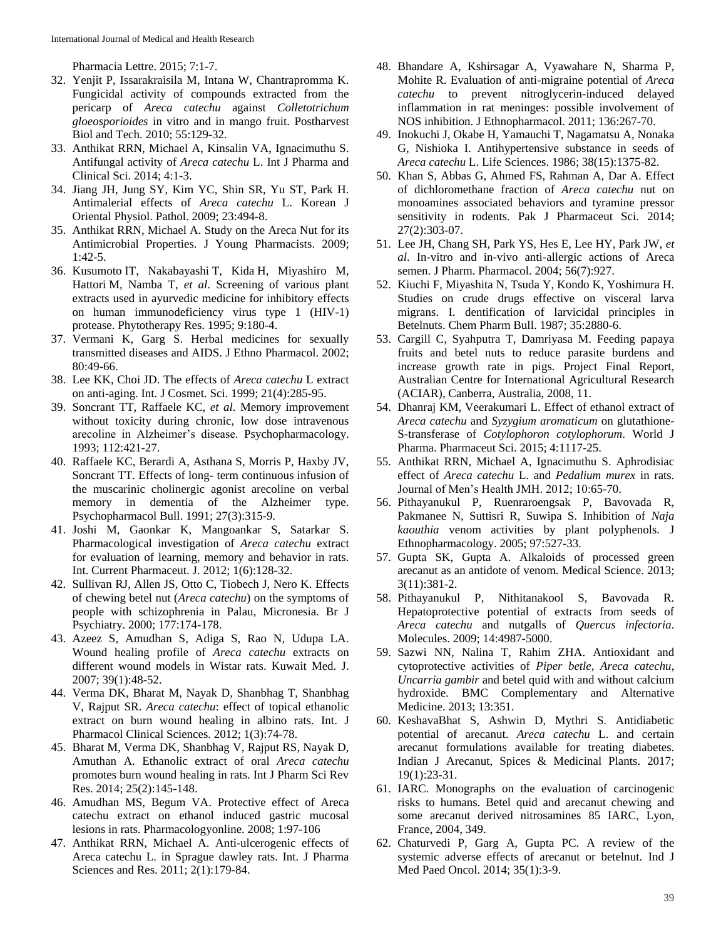Pharmacia Lettre. 2015; 7:1-7.

- 32. Yenjit P, Issarakraisila M, Intana W, Chantrapromma K. Fungicidal activity of compounds extracted from the pericarp of *Areca catechu* against *Colletotrichum gloeosporioides* in vitro and in mango fruit. Postharvest Biol and Tech. 2010; 55:129-32.
- 33. Anthikat RRN, Michael A, Kinsalin VA, Ignacimuthu S. Antifungal activity of *Areca catechu* L. Int J Pharma and Clinical Sci. 2014; 4:1-3.
- 34. Jiang JH, Jung SY, Kim YC, Shin SR, Yu ST, Park H. Antimalerial effects of *Areca catechu* L. Korean J Oriental Physiol. Pathol. 2009; 23:494-8.
- 35. Anthikat RRN, Michael A. Study on the Areca Nut for its Antimicrobial Properties. J Young Pharmacists. 2009; 1:42-5.
- 36. Kusumoto IT, Nakabayashi T, Kida H, Miyashiro M, Hattori M, Namba T, *et al*. Screening of various plant extracts used in ayurvedic medicine for inhibitory effects on human immunodeficiency virus type 1 (HIV-1) protease. Phytotherapy Res. 1995; 9:180-4.
- 37. Vermani K, Garg S. Herbal medicines for sexually transmitted diseases and AIDS. J Ethno Pharmacol. 2002; 80:49-66.
- 38. Lee KK, Choi JD. The effects of *Areca catechu* L extract on anti-aging. Int. J Cosmet. Sci. 1999; 21(4):285-95.
- 39. Soncrant TT, Raffaele KC, *et al*. Memory improvement without toxicity during chronic, low dose intravenous arecoline in Alzheimer's disease. Psychopharmacology. 1993; 112:421-27.
- 40. Raffaele KC, Berardi A, Asthana S, Morris P, Haxby JV, Soncrant TT. Effects of long- term continuous infusion of the muscarinic cholinergic agonist arecoline on verbal memory in dementia of the Alzheimer type. Psychopharmacol Bull. 1991; 27(3):315-9.
- 41. Joshi M, Gaonkar K, Mangoankar S, Satarkar S. Pharmacological investigation of *Areca catechu* extract for evaluation of learning, memory and behavior in rats. Int. Current Pharmaceut. J. 2012; 1(6):128-32.
- 42. Sullivan RJ, Allen JS, Otto C, Tiobech J, Nero K. Effects of chewing betel nut (*Areca catechu*) on the symptoms of people with schizophrenia in Palau, Micronesia. Br J Psychiatry. 2000; 177:174-178.
- 43. Azeez S, Amudhan S, Adiga S, Rao N, Udupa LA. Wound healing profile of *Areca catechu* extracts on different wound models in Wistar rats. Kuwait Med. J. 2007; 39(1):48-52.
- 44. Verma DK, Bharat M, Nayak D, Shanbhag T, Shanbhag V, Rajput SR. *Areca catechu*: effect of topical ethanolic extract on burn wound healing in albino rats. Int. J Pharmacol Clinical Sciences. 2012; 1(3):74-78.
- 45. Bharat M, Verma DK, Shanbhag V, Rajput RS, Nayak D, Amuthan A. Ethanolic extract of oral *Areca catechu* promotes burn wound healing in rats. Int J Pharm Sci Rev Res. 2014; 25(2):145-148.
- 46. Amudhan MS, Begum VA. Protective effect of Areca catechu extract on ethanol induced gastric mucosal lesions in rats. Pharmacologyonline. 2008; 1:97-106
- 47. Anthikat RRN, Michael A. Anti-ulcerogenic effects of Areca catechu L. in Sprague dawley rats. Int. J Pharma Sciences and Res. 2011; 2(1):179-84.
- 48. Bhandare A, Kshirsagar A, Vyawahare N, Sharma P, Mohite R. Evaluation of anti-migraine potential of *Areca catechu* to prevent nitroglycerin-induced delayed inflammation in rat meninges: possible involvement of NOS inhibition. J Ethnopharmacol. 2011; 136:267-70.
- 49. Inokuchi J, Okabe H, Yamauchi T, Nagamatsu A, Nonaka G, Nishioka I. Antihypertensive substance in seeds of *Areca catechu* L. Life Sciences. 1986; 38(15):1375-82.
- 50. Khan S, Abbas G, Ahmed FS, Rahman A, Dar A. Effect of dichloromethane fraction of *Areca catechu* nut on monoamines associated behaviors and tyramine pressor sensitivity in rodents. Pak J Pharmaceut Sci. 2014; 27(2):303-07.
- 51. Lee JH, Chang SH, Park YS, Hes E, Lee HY, Park JW, *et al*. In-vitro and in-vivo anti-allergic actions of Areca semen. J Pharm. Pharmacol. 2004; 56(7):927.
- 52. Kiuchi F, Miyashita N, Tsuda Y, Kondo K, Yoshimura H. Studies on crude drugs effective on visceral larva migrans. I. dentification of larvicidal principles in Betelnuts. Chem Pharm Bull. 1987; 35:2880-6.
- 53. Cargill C, Syahputra T, Damriyasa M. Feeding papaya fruits and betel nuts to reduce parasite burdens and increase growth rate in pigs. Project Final Report, Australian Centre for International Agricultural Research (ACIAR), Canberra, Australia, 2008, 11.
- 54. Dhanraj KM, Veerakumari L. Effect of ethanol extract of *Areca catechu* and *Syzygium aromaticum* on glutathione-S-transferase of *Cotylophoron cotylophorum*. World J Pharma. Pharmaceut Sci. 2015; 4:1117-25.
- 55. Anthikat RRN, Michael A, Ignacimuthu S. Aphrodisiac effect of *Areca catechu* L. and *Pedalium murex* in rats. Journal of Men's Health JMH. 2012; 10:65-70.
- 56. Pithayanukul P, Ruenraroengsak P, Bavovada R, Pakmanee N, Suttisri R, Suwipa S. Inhibition of *Naja kaouthia* venom activities by plant polyphenols. J Ethnopharmacology. 2005; 97:527-33.
- 57. Gupta SK, Gupta A. Alkaloids of processed green arecanut as an antidote of venom. Medical Science. 2013; 3(11):381-2.
- 58. Pithayanukul P, Nithitanakool S, Bavovada R. Hepatoprotective potential of extracts from seeds of *Areca catechu* and nutgalls of *Quercus infectoria*. Molecules. 2009; 14:4987-5000.
- 59. Sazwi NN, Nalina T, Rahim ZHA. Antioxidant and cytoprotective activities of *Piper betle*, *Areca catechu*, *Uncarria gambir* and betel quid with and without calcium hydroxide. BMC Complementary and Alternative Medicine. 2013; 13:351.
- 60. KeshavaBhat S, Ashwin D, Mythri S. Antidiabetic potential of arecanut. *Areca catechu* L. and certain arecanut formulations available for treating diabetes. Indian J Arecanut, Spices & Medicinal Plants. 2017; 19(1):23-31.
- 61. IARC. Monographs on the evaluation of carcinogenic risks to humans. Betel quid and arecanut chewing and some arecanut derived nitrosamines 85 IARC, Lyon, France, 2004, 349.
- 62. Chaturvedi P, Garg A, Gupta PC. A review of the systemic adverse effects of arecanut or betelnut. Ind J Med Paed Oncol. 2014; 35(1):3-9.